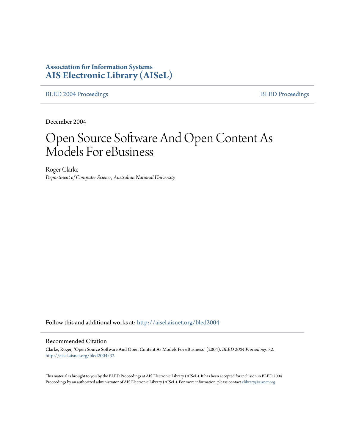# **Association for Information Systems [AIS Electronic Library \(AISeL\)](http://aisel.aisnet.org?utm_source=aisel.aisnet.org%2Fbled2004%2F32&utm_medium=PDF&utm_campaign=PDFCoverPages)**

[BLED 2004 Proceedings](http://aisel.aisnet.org/bled2004?utm_source=aisel.aisnet.org%2Fbled2004%2F32&utm_medium=PDF&utm_campaign=PDFCoverPages) **[BLED Proceedings](http://aisel.aisnet.org/bled?utm_source=aisel.aisnet.org%2Fbled2004%2F32&utm_medium=PDF&utm_campaign=PDFCoverPages)** 

December 2004

# Open Source Software And Open Content As Models For eBusiness

Roger Clarke *Department of Computer Science, Australian National University*

Follow this and additional works at: [http://aisel.aisnet.org/bled2004](http://aisel.aisnet.org/bled2004?utm_source=aisel.aisnet.org%2Fbled2004%2F32&utm_medium=PDF&utm_campaign=PDFCoverPages)

#### Recommended Citation

Clarke, Roger, "Open Source Software And Open Content As Models For eBusiness" (2004). *BLED 2004 Proceedings*. 32. [http://aisel.aisnet.org/bled2004/32](http://aisel.aisnet.org/bled2004/32?utm_source=aisel.aisnet.org%2Fbled2004%2F32&utm_medium=PDF&utm_campaign=PDFCoverPages)

This material is brought to you by the BLED Proceedings at AIS Electronic Library (AISeL). It has been accepted for inclusion in BLED 2004 Proceedings by an authorized administrator of AIS Electronic Library (AISeL). For more information, please contact [elibrary@aisnet.org](mailto:elibrary@aisnet.org%3E).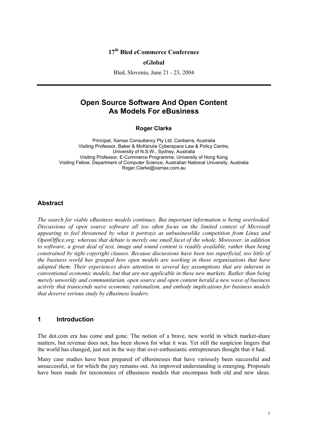# **17th Bled eCommerce Conference**

#### **eGlobal**

Bled, Slovenia, June 21 - 23, 2004

# **Open Source Software And Open Content As Models For eBusiness**

#### **Roger Clarke**

Principal, Xamax Consultancy Pty Ltd, Canberra, Australia Visiting Professor, Baker & McKenzie Cyberspace Law & Policy Centre, University of N.S.W., Sydney, Australia Visiting Professor, E-Commerce Programme, University of Hong Kong Visiting Fellow, Department of Computer Science, Australian National University, Australia Roger.Clarke@xamax.com.au

#### **Abstract**

*The search for viable eBusiness models continues. But important information is being overlooked. Discussions of open source software all too often focus on the limited context of Microsoft appearing to feel threatened by what it portrays as unbusinesslike competition from Linux and OpenOffice.org; whereas that debate is merely one small facet of the whole. Moreover, in addition to software, a great deal of text, image and sound content is readily available, rather than being constrained by tight copyright clauses. Because discussions have been too superficial, too little of the business world has grasped how open models are working in those organisations that have adopted them. Their experiences draw attention to several key assumptions that are inherent in conventional economic models, but that are not applicable in these new markets. Rather than being merely unworldy and communitarian, open source and open content herald a new wave of business activity that transcends naive economic rationalism, and embody implications for business models that deserve serious study by eBusiness leaders.* 

#### **1 Introduction**

The dot.com era has come and gone. The notion of a brave, new world in which market-share matters, but revenue does not, has been shown for what it was. Yet still the suspicion lingers that the world has changed, just not in the way that over-enthusiastic entrepreneurs thought that it had.

Many case studies have been prepared of eBusinesses that have variously been successful and unsuccessful, or for which the jury remains out. An improved understanding is emerging. Proposals have been made for taxonomies of eBusiness models that encompass both old and new ideas.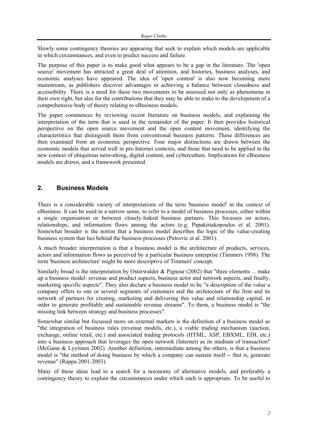Slowly some contingency theories are appearing that seek to explain which models are applicable in which circumstances, and even to predict success and failure.

The purpose of this paper is to make good what appears to be a gap in the literature. The 'open source' movement has attracted a great deal of attention, and histories, business analyses, and economic analyses have appeared. The idea of 'open content' is also now becoming more mainstream, as publishers discover advantages in achieving a balance between closedness and accessibility. There is a need for these two movements to be assessed not only as phenomena in their own right, but also for the contributions that they may be able to make to the development of a comprehensive body of theory relating to eBusiness models.

The paper commences by reviewing recent literature on business models, and explaining the interpretation of the term that is used in the remainder of the paper. It then provides historical perspective on the open source movement and the open content movement, identifying the characteristics that distinguish them from conventional business patterns. These differences are then examined from an economic perspective. Four major distinctions are drawn between the economic models that served well in pre-Internet contexts, and those that need to be applied in the new context of ubiquitous networking, digital content, and cyberculture. Implications for eBusiness models are drawn, and a framework presented.

# **2. Business Models**

There is a considerable variety of interpretations of the term 'business model' in the context of eBusiness. It can be used in a narrow sense, to refer to a model of business processes, either within a single organisation or between closely-linked business partners. This focusses on actors, relationships, and information flows among the actors (e.g. Papakiriakopoulos et al. 2001). Somewhat broader is the notion that a business model describes the logic of the value-creating business system that lies behind the business processes (Petrovic et al. 2001).

A much broader interpretation is that a business model is the architecture of products, services, actors and information flows as perceived by a particular business enterprise (Timmers 1998). The term 'business architecture' might be more descriptive of Timmers' concept.

Similarly broad is the interpretation by Osterwalder & Pigneur (2002) that "three elements ... make up a business model: revenue and product aspects, business actor and network aspects, and finally, marketing specific aspects". They also declare a business model to be "a description of the value a company offers to one or several segments of customers and the architecture of the firm and its network of partners for creating, marketing and delivering this value and relationship capital, in order to generate profitable and sustainable revenue streams". To them, a business model is "the missing link between strategy and business processes".

Somewhat similar but focussed more on external markets is the definition of a business model as "the integration of business rules (revenue models, etc.), a viable trading mechanism (auction, exchange, online retail, etc.) and associated trading protocols (HTML, ASP, EBXML, EDI, etc.) into a business approach that leverages the open network (Internet) as its medium of transaction" (McGann & Lyytinen 2002). Another definition, intermediate among the others, is that a business model is "the method of doing business by which a company can sustain itself -- that is, generate revenue" (Rappa 2001-2003).

Many of these ideas lead to a search for a taxonomy of alternative models, and preferably a contingency theory to explain the circumstances under which each is appropriate. To be useful to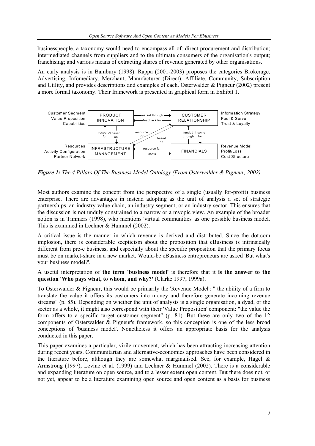businesspeople, a taxonomy would need to encompass all of: direct procurement and distribution; intermediated channels from suppliers and to the ultimate consumers of the organisation's output; franchising; and various means of extracting shares of revenue generated by other organisations.

An early analysis is in Bambury (1998). Rappa (2001-2003) proposes the categories Brokerage, Advertising, Infomediary, Merchant, Manufacturer (Direct), Affiliate, Community, Subscription and Utility, and provides descriptions and examples of each. Osterwalder & Pigneur (2002) present a more formal taxonomy. Their framework is presented in graphical form in Exhibit 1.



*Figure 1: The 4 Pillars Of The Business Model Ontology (From Osterwalder & Pigneur, 2002)* 

Most authors examine the concept from the perspective of a single (usually for-profit) business enterprise. There are advantages in instead adopting as the unit of analysis a set of strategic partnerships, an industry value-chain, an industry segment, or an industry sector. This ensures that the discussion is not unduly constrained to a narrow or a myopic view. An example of the broader notion is in Timmers (1998), who mentions 'virtual communities' as one possible business model. This is examined in Lechner & Hummel (2002).

A critical issue is the manner in which revenue is derived and distributed. Since the dot.com implosion, there is considerable scepticism about the proposition that eBusiness is intrinsically different from pre-e business, and especially about the specific proposition that the primary focus must be on market-share in a new market. Would-be eBusiness entrepreneurs are asked 'But what's your business model?'.

A useful interpretation of **the term 'business model'** is therefore that it **is the answer to the question 'Who pays what, to whom, and why?'** (Clarke 1997, 1999a).

To Osterwalder & Pigneur, this would be primarily the 'Revenue Model': " the ability of a firm to translate the value it offers its customers into money and therefore generate incoming revenue streams" (p. 85). Depending on whether the unit of analysis is a single organisation, a dyad, or the sector as a whole, it might also correspond with their 'Value Proposition' component: "the value the form offers to a specific target customer segment" (p. 81). But these are only two of the 12 components of Osterwalder & Pigneur's framework, so this conception is one of the less broad conceptions of 'business model'. Nonetheless it offers an appropriate basis for the analysis conducted in this paper.

This paper examines a particular, virile movement, which has been attracting increasing attention during recent years. Communitarian and alternative-economics approaches have been considered in the literature before, although they are somewhat marginalised. See, for example, Hagel  $\&$ Armstrong (1997), Levine et al. (1999) and Lechner & Hummel (2002). There is a considerable and expanding literature on open source, and to a lesser extent open content. But there does not, or not yet, appear to be a literature examining open source and open content as a basis for business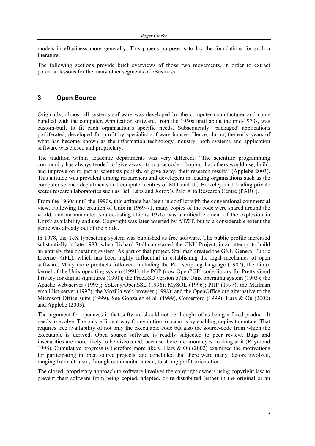models in eBusiness more generally. This paper's purpose is to lay the foundations for such a literature.

The following sections provide brief overviews of those two movements, in order to extract potential lessons for the many other segments of eBusiness.

## **3 Open Source**

Originally, almost all systems software was developed by the computer-manufacturer and came bundled with the computer. Application software, from the 1950s until about the mid-1970s, was custom-built to fit each organisation's specific needs. Subsequently, 'packaged' applications proliferated, developed for profit by specialist software houses. Hence, during the early years of what has become known as the information technology industry, both systems and application software was closed and proprietary.

The tradition within academic departments was very different: "The scientific programming community has always tended to 'give away' its source code – hoping that others would use, build, and improve on it; just as scientists publish, or give away, their research results" (Applebe 2003). This attitude was prevalent among researchers and developers in leading organisations such as the computer science departments and computer centres of MIT and UC Berkeley, and leading private sector research laboratories such as Bell Labs and Xerox's Palo Alto Research Centre (PARC).

From the 1960s until the 1990s, this attitude has been in conflict with the conventional commercial view. Following the creation of Unix in 1969-71, many copies of the code were shared around the world, and an annotated source-listing (Lions 1976) was a critical element of the explosion in Unix's availability and use. Copyright was later asserted by AT&T, but to a considerable extent the genie was already out of the bottle.

In 1978, the TeX typesetting system was published as free software. The public profile increased substantially in late 1983, when Richard Stallman started the GNU Project, in an attempt to build an entirely free operating system. As part of that project, Stallman created the GNU General Public License (GPL), which has been highly influential in establishing the legal mechanics of open software. Many more products followed, including the Perl scripting language (1987); the Linux kernel of the Unix operating system (1991); the PGP (now OpenPGP) code-library for Pretty Good Privacy for digital signatures (1991); the FreeBSD version of the Unix operating system (1993); the Apache web-server (1995); SSLeay/OpenSSL (1996); MySQL (1996); PHP (1997); the Mailman email list-server (1997); the Mozilla web-browser (1998); and the OpenOffice.org alternative to the Microsoft Office suite (1999). See Gonzalez et al. (1999), Comerford (1999), Hars & Ou (2002) and Applebe (2003).

The argument for openness is that software should not be thought of as being a fixed product. It needs to evolve. The only efficient way for evolution to occur is by enabling copies to mutate. That requires free availability of not only the executable code but also the source-code from which the executable is derived. Open source software is readily subjected to peer review. Bugs and insecurities are more likely to be discovered, because there are 'more eyes' looking at it (Raymond 1998). Cumulative progress is therefore more likely. Hars & Ou (2002) examined the motivations for participating in open source projects, and concluded that there were many factors involved, ranging from altruism, through communitarianism, to strong profit-orientation.

The closed, proprietary approach to software involves the copyright owners using copyright law to prevent their software from being copied, adapted, or re-distributed (either in the original or an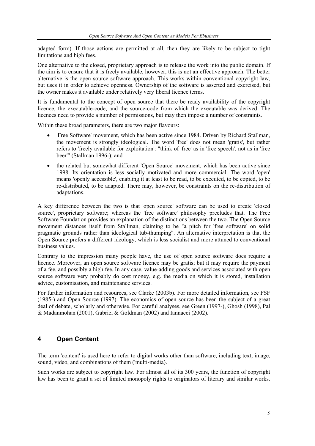adapted form). If those actions are permitted at all, then they are likely to be subject to tight limitations and high fees.

One alternative to the closed, proprietary approach is to release the work into the public domain. If the aim is to ensure that it is freely available, however, this is not an effective approach. The better alternative is the open source software approach. This works within conventional copyright law, but uses it in order to achieve openness. Ownership of the software is asserted and exercised, but the owner makes it available under relatively very liberal licence terms.

It is fundamental to the concept of open source that there be ready availability of the copyright licence, the executable-code, and the source-code from which the executable was derived. The licences need to provide a number of permissions, but may then impose a number of constraints.

Within these broad parameters, there are two major flavours:

- 'Free Software' movement, which has been active since 1984. Driven by Richard Stallman, the movement is strongly ideological. The word 'free' does not mean 'gratis', but rather refers to 'freely available for exploitation': "think of 'free' as in 'free speech', not as in 'free beer'" (Stallman 1996-); and
- the related but somewhat different 'Open Source' movement, which has been active since 1998. Its orientation is less socially motivated and more commercial. The word 'open' means 'openly accessible', enabling it at least to be read, to be executed, to be copied, to be re-distributed, to be adapted. There may, however, be constraints on the re-distribution of adaptations.

A key difference between the two is that 'open source' software can be used to create 'closed source', proprietary software; whereas the 'free software' philosophy precludes that. The Free Software Foundation provides an explanation of the distinctions between the two. The Open Source movement distances itself from Stallman, claiming to be "a pitch for 'free software' on solid pragmatic grounds rather than ideological tub-thumping". An alternative interpretation is that the Open Source prefers a different ideology, which is less socialist and more attuned to conventional business values.

Contrary to the impression many people have, the use of open source software does require a licence. Moreover, an open source software licence may be gratis; but it may require the payment of a fee, and possibly a high fee. In any case, value-adding goods and services associated with open source software very probably do cost money, e.g. the media on which it is stored, installation advice, customisation, and maintenance services.

For further information and resources, see Clarke (2003b). For more detailed information, see FSF (1985-) and Open Source (1997). The economics of open source has been the subject of a great deal of debate, scholarly and otherwise. For careful analyses, see Green (1997-), Ghosh (1998), Pal & Madanmohan (2001), Gabriel & Goldman (2002) and Iannacci (2002).

# **4 Open Content**

The term 'content' is used here to refer to digital works other than software, including text, image, sound, video, and combinations of them ('multi-media).

Such works are subject to copyright law. For almost all of its 300 years, the function of copyright law has been to grant a set of limited monopoly rights to originators of literary and similar works.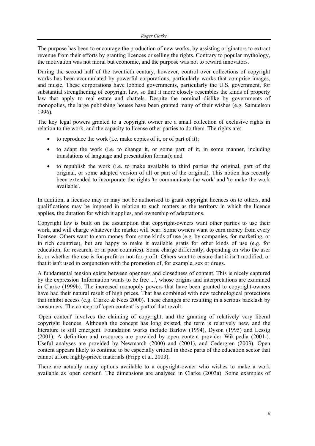The purpose has been to encourage the production of new works, by assisting originators to extract revenue from their efforts by granting licences or selling the rights. Contrary to popular mythology, the motivation was not moral but economic, and the purpose was not to reward innovators.

During the second half of the twentieth century, however, control over collections of copyright works has been accumulated by powerful corporations, particularly works that comprise images, and music. These corporations have lobbied governments, particularly the U.S. government, for substantial strengthening of copyright law, so that it more closely resembles the kinds of property law that apply to real estate and chattels. Despite the nominal dislike by governments of monopolies, the large publishing houses have been granted many of their wishes (e.g. Samuelson 1996).

The key legal powers granted to a copyright owner are a small collection of exclusive rights in relation to the work, and the capacity to license other parties to do them. The rights are:

- to reproduce the work (i.e. make copies of it, or of part of it);
- to adapt the work (i.e. to change it, or some part of it, in some manner, including translations of language and presentation format); and
- to republish the work (i.e. to make available to third parties the original, part of the original, or some adapted version of all or part of the original). This notion has recently been extended to incorporate the rights 'to communicate the work' and 'to make the work available'.

In addition, a licensee may or may not be authorised to grant copyright licences on to others, and qualifications may be imposed in relation to such matters as the territory in which the licence applies, the duration for which it applies, and ownership of adaptations.

Copyright law is built on the assumption that copyright-owners want other parties to use their work, and will charge whatever the market will bear. Some owners want to earn money from every licensee. Others want to earn money from some kinds of use (e.g. by companies, for marketing, or in rich countries), but are happy to make it available gratis for other kinds of use (e.g. for education, for research, or in poor countries). Some charge differently, depending on who the user is, or whether the use is for-profit or not-for-profit. Others want to ensure that it isn't modified, or that it isn't used in conjunction with the promotion of, for example, sex or drugs.

A fundamental tension exists between openness and closedness of content. This is nicely captured by the expression 'Information wants to be free ...', whose origins and interpretations are examined in Clarke (1999b). The increased monopoly powers that have been granted to copyright-owners have had their natural result of high prices. That has combined with new technological protections that inhibit access (e.g. Clarke & Nees 2000). These changes are resulting in a serious backlash by consumers. The concept of 'open content' is part of that revolt.

'Open content' involves the claiming of copyright, and the granting of relatively very liberal copyright licences. Although the concept has long existed, the term is relatively new, and the literature is still emergent. Foundation works include Barlow (1994), Dyson (1995) and Lessig (2001). A definition and resources are provided by open content provider Wikipedia (2001-). Useful analyses are provided by Newmarch (2000) and (2001), and Cedergren (2003). Open content appears likely to continue to be especially critical in those parts of the education sector that cannot afford highly-priced materials (Fripp et al. 2003).

There are actually many options available to a copyright-owner who wishes to make a work available as 'open content'. The dimensions are analysed in Clarke (2003a). Some examples of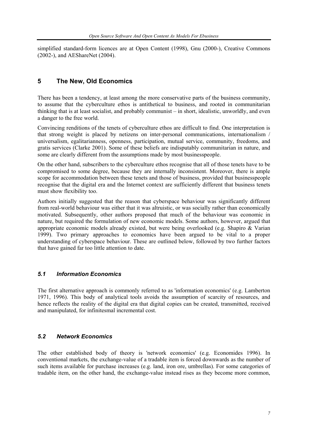simplified standard-form licences are at Open Content (1998), Gnu (2000-), Creative Commons (2002-), and AEShareNet (2004).

# **5 The New, Old Economics**

There has been a tendency, at least among the more conservative parts of the business community, to assume that the cyberculture ethos is antithetical to business, and rooted in communitarian thinking that is at least socialist, and probably communist – in short, idealistic, unworldly, and even a danger to the free world.

Convincing renditions of the tenets of cyberculture ethos are difficult to find. One interpretation is that strong weight is placed by netizens on inter-personal communications, internationalism / universalism, egalitarianness, openness, participation, mutual service, community, freedoms, and gratis services (Clarke 2001). Some of these beliefs are indisputably communitarian in nature, and some are clearly different from the assumptions made by most businesspeople.

On the other hand, subscribers to the cyberculture ethos recognise that all of those tenets have to be compromised to some degree, because they are internally inconsistent. Moreover, there is ample scope for accommodation between these tenets and those of business, provided that businesspeople recognise that the digital era and the Internet context are sufficiently different that business tenets must show flexibility too.

Authors initially suggested that the reason that cyberspace behaviour was significantly different from real-world behaviour was either that it was altruistic, or was socially rather than economically motivated. Subsequently, other authors proposed that much of the behaviour was economic in nature, but required the formulation of new economic models. Some authors, however, argued that appropriate economic models already existed, but were being overlooked (e.g. Shapiro & Varian 1999). Two primary approaches to economics have been argued to be vital to a proper understanding of cyberspace behaviour. These are outlined below, followed by two further factors that have gained far too little attention to date.

## *5.1 Information Economics*

The first alternative approach is commonly referred to as 'information economics' (e.g. Lamberton 1971, 1996). This body of analytical tools avoids the assumption of scarcity of resources, and hence reflects the reality of the digital era that digital copies can be created, transmitted, received and manipulated, for infinitesmal incremental cost.

## *5.2 Network Economics*

The other established body of theory is 'network economics' (e.g. Economides 1996). In conventional markets, the exchange-value of a tradable item is forced downwards as the number of such items available for purchase increases (e.g. land, iron ore, umbrellas). For some categories of tradable item, on the other hand, the exchange-value instead rises as they become more common,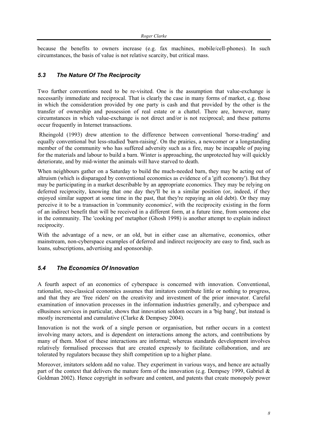because the benefits to owners increase (e.g. fax machines, mobile/cell-phones). In such circumstances, the basis of value is not relative scarcity, but critical mass.

## *5.3 The Nature Of The Reciprocity*

Two further conventions need to be re-visited. One is the assumption that value-exchange is necessarily immediate and reciprocal. That is clearly the case in many forms of market, e.g. those in which the consideration provided by one party is cash and that provided by the other is the transfer of ownership and possession of real estate or a chattel. There are, however, many circumstances in which value-exchange is not direct and/or is not reciprocal; and these patterns occur frequently in Internet transactions.

 Rheingold (1993) drew attention to the difference between conventional 'horse-trading' and equally conventional but less-studied 'barn-raising'. On the prairies, a newcomer or a longstanding member of the community who has suffered adversity such as a fire, may be incapable of paying for the materials and labour to build a barn. Winter is approaching, the unprotected hay will quickly deteriorate, and by mid-winter the animals will have starved to death.

When neighbours gather on a Saturday to build the much-needed barn, they may be acting out of altruism (which is disparaged by conventional economics as evidence of a 'gift economy'). But they may be participating in a market describable by an appropriate economics. They may be relying on deferred reciprocity, knowing that one day they'll be in a similar position (or, indeed, if they enjoyed similar support at some time in the past, that they're repaying an old debt). Or they may perceive it to be a transaction in 'community economics', with the reciprocity existing in the form of an indirect benefit that will be received in a different form, at a future time, from someone else in the community. The 'cooking pot' metaphor (Ghosh 1998) is another attempt to explain indirect reciprocity.

With the advantage of a new, or an old, but in either case an alternative, economics, other mainstream, non-cyberspace examples of deferred and indirect reciprocity are easy to find, such as loans, subscriptions, advertising and sponsorship.

# *5.4 The Economics Of Innovation*

A fourth aspect of an economics of cyberspace is concerned with innovation. Conventional, rationalist, neo-classical economics assumes that imitators contribute little or nothing to progress, and that they are 'free riders' on the creativity and investment of the prior innovator. Careful examination of innovation processes in the information industries generally, and cyberspace and eBusiness services in particular, shows that innovation seldom occurs in a 'big bang', but instead is mostly incremental and cumulative (Clarke & Dempsey 2004).

Innovation is not the work of a single person or organisation, but rather occurs in a context involving many actors, and is dependent on interactions among the actors, and contributions by many of them. Most of these interactions are informal; whereas standards development involves relatively formalised processes that are created expressly to facilitate collaboration, and are tolerated by regulators because they shift competition up to a higher plane.

Moreover, imitators seldom add no value. They experiment in various ways, and hence are actually part of the context that delivers the mature form of the innovation (e.g. Dempsey 1999, Gabriel & Goldman 2002). Hence copyright in software and content, and patents that create monopoly power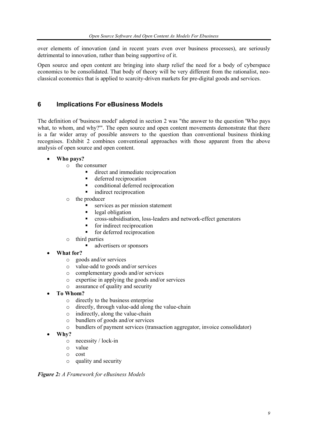over elements of innovation (and in recent years even over business processes), are seriously detrimental to innovation, rather than being supportive of it.

Open source and open content are bringing into sharp relief the need for a body of cyberspace economics to be consolidated. That body of theory will be very different from the rationalist, neoclassical economics that is applied to scarcity-driven markets for pre-digital goods and services.

# **6 Implications For eBusiness Models**

The definition of 'business model' adopted in section 2 was "the answer to the question 'Who pays what, to whom, and why?"'. The open source and open content movements demonstrate that there is a far wider array of possible answers to the question than conventional business thinking recognises. Exhibit 2 combines conventional approaches with those apparent from the above analysis of open source and open content.

- **Who pays?** 
	- o the consumer
		- direct and immediate reciprocation
		- deferred reciprocation
		- conditional deferred reciprocation
		- indirect reciprocation
	- o the producer
		- services as per mission statement
		- **-** legal obligation
		- cross-subsidisation, loss-leaders and network-effect generators
		- $\blacksquare$  for indirect reciprocation
		- **for deferred reciprocation**
	- o third parties
		- advertisers or sponsors
- **What for?** 
	- o goods and/or services
	- o value-add to goods and/or services
	- o complementary goods and/or services
	- o expertise in applying the goods and/or services
	- o assurance of quality and security
- **To Whom?** 
	- o directly to the business enterprise
	- o directly, through value-add along the value-chain
	- o indirectly, along the value-chain
	- o bundlers of goods and/or services
	- o bundlers of payment services (transaction aggregator, invoice consolidator)
- **Why?** 
	- o necessity / lock-in
	- o value
	- o cost
	- o quality and security

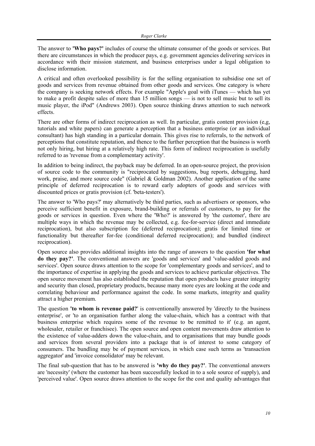The answer to **'Who pays?'** includes of course the ultimate consumer of the goods or services. But there are circumstances in which the producer pays, e.g. government agencies delivering services in accordance with their mission statement, and business enterprises under a legal obligation to disclose information.

A critical and often overlooked possibility is for the selling organisation to subsidise one set of goods and services from revenue obtained from other goods and services. One category is where the company is seeking network effects. For example "Apple's goal with iTunes — which has yet to make a profit despite sales of more than 15 million songs — is not to sell music but to sell its music player, the iPod" (Andrews 2003). Open source thinking draws attention to such network effects.

There are other forms of indirect reciprocation as well. In particular, gratis content provision (e,g, tutorials and white papers) can generate a perception that a business enterprise (or an individual consultant) has high standing in a particular domain. This gives rise to referrals, to the network of perceptions that constitute reputation, and thence to the further perception that the business is worth not only hiring, but hiring at a relatively high rate. This form of indirect reciprocation is usefully referred to as 'revenue from a complementary activity'.

In addition to being indirect, the payback may be deferred. In an open-source project, the provision of source code to the community is "reciprocated by suggestions, bug reports, debugging, hard work, praise, and more source code" (Gabriel & Goldman 2002). Another application of the same principle of deferred reciprocation is to reward early adopters of goods and services with discounted prices or gratis provision (cf. 'beta-testers').

The answer to 'Who pays?' may alternatively be third parties, such as advertisers or sponsors, who perceive sufficient benefit in exposure, brand-building or referrals of customers, to pay for the goods or services in question. Even where the 'Who?' is answered by 'the customer', there are multiple ways in which the revenue may be collected, e.g. fee-for-service (direct and immediate reciprocation), but also subscription fee (deferred reciprocation); gratis for limited time or functionality but thereafter for-fee (conditional deferred reciprocation); and bundled (indirect reciprocation).

Open source also provides additional insights into the range of answers to the question **'for what do they pay?'**. The conventional answers are 'goods and services' and 'value-added goods and services'. Open source draws attention to the scope for 'complementary goods and services', and to the importance of expertise in applying the goods and services to achieve particular objectives. The open source movement has also established the reputation that open products have greater integrity and security than closed, proprietary products, because many more eyes are looking at the code and correlating behaviour and performance against the code. In some markets, integrity and quality attract a higher premium.

The question **'to whom is revenue paid?**' is conventionally answered by 'directly to the business enterprise', or 'to an organisation further along the value-chain, which has a contract with that business enterprise which requires some of the revenue to be remitted to it' (e.g. an agent, wholesaler, retailer or franchisee). The open source and open content movements draw attention to the existence of value-adders down the value-chain, and to organisations that may bundle goods and services from several providers into a package that is of interest to some category of consumers. The bundling may be of payment services, in which case such terms as 'transaction aggregator' and 'invoice consolidator' may be relevant.

The final sub-question that has to be answered is **'why do they pay?'**. The conventional answers are 'necessity' (where the customer has been successfully locked in to a sole source of supply), and 'perceived value'. Open source draws attention to the scope for the cost and quality advantages that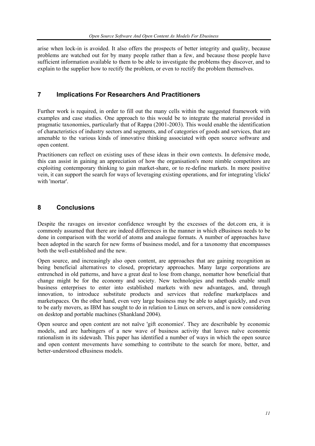arise when lock-in is avoided. It also offers the prospects of better integrity and quality, because problems are watched out for by many people rather than a few, and because those people have sufficient information available to them to be able to investigate the problems they discover, and to explain to the supplier how to rectify the problem, or even to rectify the problem themselves.

# **7 Implications For Researchers And Practitioners**

Further work is required, in order to fill out the many cells within the suggested framework with examples and case studies. One approach to this would be to integrate the material provided in pragmatic taxonomies, particularly that of Rappa (2001-2003). This would enable the identification of characteristics of industry sectors and segments, and of categories of goods and services, that are amenable to the various kinds of innovative thinking associated with open source software and open content.

Practitioners can reflect on existing uses of these ideas in their own contexts. In defensive mode, this can assist in gaining an appreciation of how the organisation's more nimble competitors are exploiting contemporary thinking to gain market-share, or to re-define markets. In more positive vein, it can support the search for ways of leveraging existing operations, and for integrating 'clicks' with 'mortar'.

# **8 Conclusions**

Despite the ravages on investor confidence wrought by the excesses of the dot.com era, it is commonly assumed that there are indeed differences in the manner in which eBusiness needs to be done in comparison with the world of atoms and analogue formats. A number of approaches have been adopted in the search for new forms of business model, and for a taxonomy that encompasses both the well-established and the new.

Open source, and increasingly also open content, are approaches that are gaining recognition as being beneficial alternatives to closed, proprietary approaches. Many large corporations are entrenched in old patterns, and have a great deal to lose from change, nomatter how beneficial that change might be for the economy and society. New technologies and methods enable small business enterprises to enter into established markets with new advantages, and, through innovation, to introduce substitute products and services that redefine marketplaces and marketspaces. On the other hand, even very large business may be able to adapt quickly, and even to be early movers, as IBM has sought to do in relation to Linux on servers, and is now considering on desktop and portable machines (Shankland 2004).

Open source and open content are not naïve 'gift economies'. They are describable by economic models, and are harbingers of a new wave of business activity that leaves naïve economic rationalism in its sidewash. This paper has identified a number of ways in which the open source and open content movements have something to contribute to the search for more, better, and better-understood eBusiness models.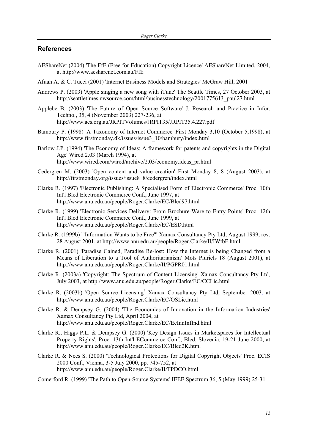#### **References**

- AEShareNet (2004) 'The FfE (Free for Education) Copyright Licence' AEShareNet Limited, 2004, at http://www.aesharenet.com.au/FfE
- Afuah A. & C. Tucci (2001) 'Internet Business Models and Strategies' McGraw Hill, 2001
- Andrews P. (2003) 'Apple singing a new song with iTune' The Seattle Times, 27 October 2003, at http://seattletimes.nwsource.com/html/businesstechnology/2001775613\_paul27.html
- Applebe B. (2003) 'The Future of Open Source Software' J. Research and Practice in Infor. Techno., 35, 4 (November 2003) 227-236, at http://www.acs.org.au/JRPITVolumes/JRPIT35/JRPIT35.4.227.pdf
- Bambury P. (1998) 'A Taxonomy of Internet Commerce' First Monday 3,10 (October 5,1998), at http://www.firstmonday.dk/issues/issue3\_10/bambury/index.html
- Barlow J.P. (1994) 'The Economy of Ideas: A framework for patents and copyrights in the Digital Age' Wired 2.03 (March 1994), at http://www.wired.com/wired/archive/2.03/economy.ideas\_pr.html
- Cedergren M. (2003) 'Open content and value creation' First Monday 8, 8 (August 2003), at http://firstmonday.org/issues/issue8\_8/cedergren/index.html
- Clarke R. (1997) 'Electronic Publishing: A Specialised Form of Electronic Commerce' Proc. 10th Int'l Bled Electronic Commerce Conf., June 1997, at http://www.anu.edu.au/people/Roger.Clarke/EC/Bled97.html
- Clarke R. (1999) 'Electronic Services Delivery: From Brochure-Ware to Entry Points' Proc. 12th Int'l Bled Electronic Commerce Conf., June 1999, at http://www.anu.edu.au/people/Roger.Clarke/EC/ESD.html
- Clarke R. (1999b) '"Information Wants to be Free"' Xamax Consultancy Pty Ltd, August 1999, rev. 28 August 2001, at http://www.anu.edu.au/people/Roger.Clarke/II/IWtbF.html
- Clarke R. (2001) 'Paradise Gained, Paradise Re-lost: How the Internet is being Changed from a Means of Liberation to a Tool of Authoritarianism' Mots Pluriels 18 (August 2001), at http://www.anu.edu.au/people/Roger.Clarke/II/PGPR01.html
- Clarke R. (2003a) 'Copyright: The Spectrum of Content Licensing' Xamax Consultancy Pty Ltd, July 2003, at http://www.anu.edu.au/people/Roger.Clarke/EC/CCLic.html
- Clarke R. (2003b) 'Open Source Licensing' Xamax Consultancy Pty Ltd, September 2003, at http://www.anu.edu.au/people/Roger.Clarke/EC/OSLic.html
- Clarke R. & Dempsey G. (2004) 'The Economics of Innovation in the Information Industries' Xamax Consultancy Pty Ltd, April 2004, at http://www.anu.edu.au/people/Roger.Clarke/EC/EcInnInfInd.html
- Clarke R., Higgs P.L. & Dempsey G. (2000) 'Key Design Issues in Marketspaces for Intellectual Property Rights', Proc. 13th Int'l ECommerce Conf., Bled, Slovenia, 19-21 June 2000, at http://www.anu.edu.au/people/Roger.Clarke/EC/Bled2K.html
- Clarke R. & Nees S. (2000) 'Technological Protections for Digital Copyright Objects' Proc. ECIS 2000 Conf., Vienna, 3-5 July 2000, pp. 745-752, at http://www.anu.edu.au/people/Roger.Clarke/II/TPDCO.html
- Comerford R. (1999) 'The Path to Open-Source Systems' IEEE Spectrum 36, 5 (May 1999) 25-31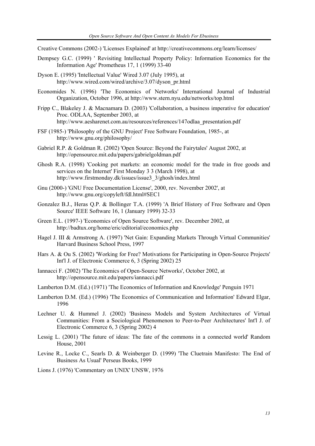Creative Commons (2002-) 'Licenses Explained' at http://creativecommons.org/learn/licenses/

- Dempsey G.C. (1999) ' Revisiting Intellectual Property Policy: Information Economics for the Information Age' Prometheus 17, 1 (1999) 33-40
- Dyson E. (1995) 'Intellectual Value' Wired 3.07 (July 1995), at http://www.wired.com/wired/archive/3.07/dyson\_pr.html
- Economides N. (1996) 'The Economics of Networks' International Journal of Industrial Organization, October 1996, at http://www.stern.nyu.edu/networks/top.html
- Fripp C., Blakeley J. & Macnamara D. (2003) 'Collaboration, a business imperative for education' Proc. ODLAA, September 2003, at http://www.aesharenet.com.au/resources/references/147odlaa\_presentation.pdf
- FSF (1985-) 'Philosophy of the GNU Project' Free Software Foundation, 1985-, at http://www.gnu.org/philosophy/
- Gabriel R.P. & Goldman R. (2002) 'Open Source: Beyond the Fairytales' August 2002, at http://opensource.mit.edu/papers/gabrielgoldman.pdf
- Ghosh R.A. (1998) 'Cooking pot markets: an economic model for the trade in free goods and services on the Internet' First Monday 3 3 (March 1998), at http://www.firstmonday.dk/issues/issue3\_3/ghosh/index.html
- Gnu (2000-) 'GNU Free Documentation License', 2000, rev. November 2002', at http://www.gnu.org/copyleft/fdl.html#SEC1
- Gonzalez B.J., Heras Q.P. & Bollinger T.A. (1999) 'A Brief History of Free Software and Open Source' IEEE Software 16, 1 (January 1999) 32-33
- Green E.L. (1997-) 'Economics of Open Source Software', rev. December 2002, at http://badtux.org/home/eric/editorial/economics.php
- Hagel J. III & Armstrong A. (1997) 'Net Gain: Expanding Markets Through Virtual Communities' Harvard Business School Press, 1997
- Hars A. & Ou S. (2002) 'Working for Free? Motivations for Participating in Open-Source Projects' Int'l J. of Electronic Commerce 6, 3 (Spring 2002) 25
- Iannacci F. (2002) 'The Economics of Open-Source Networks', October 2002, at http://opensource.mit.edu/papers/iannacci.pdf
- Lamberton D.M. (Ed.) (1971) 'The Economics of Information and Knowledge' Penguin 1971
- Lamberton D.M. (Ed.) (1996) 'The Economics of Communication and Information' Edward Elgar, 1996
- Lechner U. & Hummel J. (2002) 'Business Models and System Architectures of Virtual Communities: From a Sociological Phenomenon to Peer-to-Peer Architectures' Int'l J. of Electronic Commerce 6, 3 (Spring 2002) 4
- Lessig L. (2001) 'The future of ideas: The fate of the commons in a connected world' Random House, 2001
- Levine R., Locke C., Searls D. & Weinberger D. (1999) 'The Cluetrain Manifesto: The End of Business As Usual' Perseus Books, 1999
- Lions J. (1976) 'Commentary on UNIX' UNSW, 1976